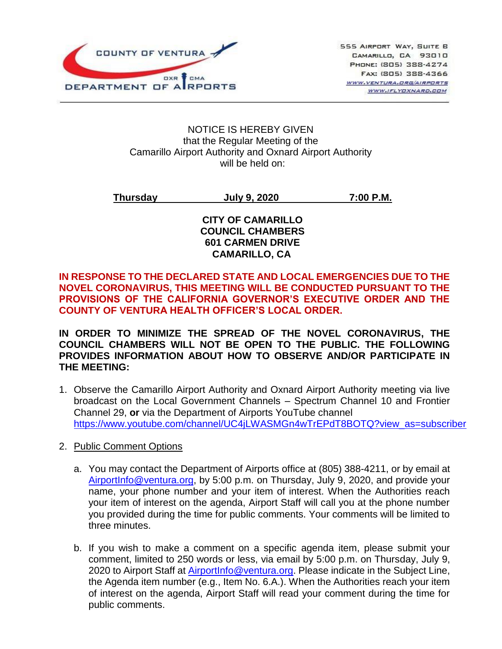

#### NOTICE IS HEREBY GIVEN that the Regular Meeting of the Camarillo Airport Authority and Oxnard Airport Authority will be held on:

**Thursday July 9, 2020 7:00 P.M.**

### **CITY OF CAMARILLO COUNCIL CHAMBERS 601 CARMEN DRIVE CAMARILLO, CA**

### **IN RESPONSE TO THE DECLARED STATE AND LOCAL EMERGENCIES DUE TO THE NOVEL CORONAVIRUS, THIS MEETING WILL BE CONDUCTED PURSUANT TO THE PROVISIONS OF THE CALIFORNIA GOVERNOR'S EXECUTIVE ORDER AND THE COUNTY OF VENTURA HEALTH OFFICER'S LOCAL ORDER.**

**IN ORDER TO MINIMIZE THE SPREAD OF THE NOVEL CORONAVIRUS, THE COUNCIL CHAMBERS WILL NOT BE OPEN TO THE PUBLIC. THE FOLLOWING PROVIDES INFORMATION ABOUT HOW TO OBSERVE AND/OR PARTICIPATE IN THE MEETING:** 

- 1. Observe the Camarillo Airport Authority and Oxnard Airport Authority meeting via live broadcast on the Local Government Channels – Spectrum Channel 10 and Frontier Channel 29, **or** via the Department of Airports YouTube channel [https://www.youtube.com/channel/UC4jLWASMGn4wTrEPdT8BOTQ?view\\_as=subscriber](https://www.youtube.com/channel/UC4jLWASMGn4wTrEPdT8BOTQ?view_as=subscriber)
- 2. Public Comment Options
	- a. You may contact the Department of Airports office at (805) 388-4211, or by email at [AirportInfo@ventura.org,](mailto:AirportInfo@ventura.org) by 5:00 p.m. on Thursday, July 9, 2020, and provide your name, your phone number and your item of interest. When the Authorities reach your item of interest on the agenda, Airport Staff will call you at the phone number you provided during the time for public comments. Your comments will be limited to three minutes.
	- b. If you wish to make a comment on a specific agenda item, please submit your comment, limited to 250 words or less, via email by 5:00 p.m. on Thursday, July 9, 2020 to Airport Staff at [AirportInfo@ventura.org.](mailto:AirportInfo@ventura.org) Please indicate in the Subject Line, the Agenda item number (e.g., Item No. 6.A.). When the Authorities reach your item of interest on the agenda, Airport Staff will read your comment during the time for public comments.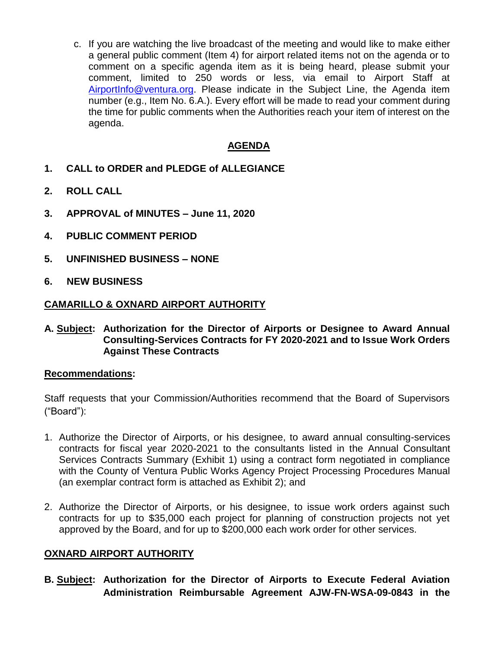c. If you are watching the live broadcast of the meeting and would like to make either a general public comment (Item 4) for airport related items not on the agenda or to comment on a specific agenda item as it is being heard, please submit your comment, limited to 250 words or less, via email to Airport Staff at [AirportInfo@ventura.org.](mailto:AirportInfo@ventura.org) Please indicate in the Subject Line, the Agenda item number (e.g., Item No. 6.A.). Every effort will be made to read your comment during the time for public comments when the Authorities reach your item of interest on the agenda.

### **AGENDA**

- **1. CALL to ORDER and PLEDGE of ALLEGIANCE**
- **2. ROLL CALL**
- **3. APPROVAL of MINUTES – June 11, 2020**
- **4. PUBLIC COMMENT PERIOD**
- **5. UNFINISHED BUSINESS – NONE**
- **6. NEW BUSINESS**

#### **CAMARILLO & OXNARD AIRPORT AUTHORITY**

**A. Subject: Authorization for the Director of Airports or Designee to Award Annual Consulting-Services Contracts for FY 2020-2021 and to Issue Work Orders Against These Contracts**

#### **Recommendations:**

Staff requests that your Commission/Authorities recommend that the Board of Supervisors ("Board"):

- 1. Authorize the Director of Airports, or his designee, to award annual consulting-services contracts for fiscal year 2020-2021 to the consultants listed in the Annual Consultant Services Contracts Summary (Exhibit 1) using a contract form negotiated in compliance with the County of Ventura Public Works Agency Project Processing Procedures Manual (an exemplar contract form is attached as Exhibit 2); and
- 2. Authorize the Director of Airports, or his designee, to issue work orders against such contracts for up to \$35,000 each project for planning of construction projects not yet approved by the Board, and for up to \$200,000 each work order for other services.

#### **OXNARD AIRPORT AUTHORITY**

**B. Subject: Authorization for the Director of Airports to Execute Federal Aviation Administration Reimbursable Agreement AJW-FN-WSA-09-0843 in the**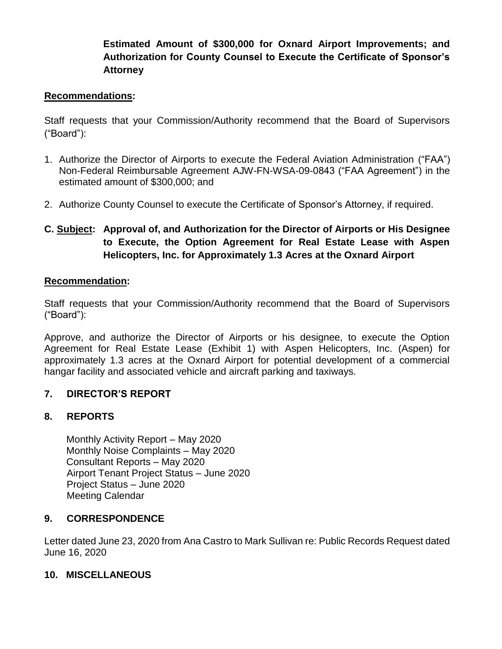# **Estimated Amount of \$300,000 for Oxnard Airport Improvements; and Authorization for County Counsel to Execute the Certificate of Sponsor's Attorney**

### **Recommendations:**

Staff requests that your Commission/Authority recommend that the Board of Supervisors ("Board"):

- 1. Authorize the Director of Airports to execute the Federal Aviation Administration ("FAA") Non-Federal Reimbursable Agreement AJW-FN-WSA-09-0843 ("FAA Agreement") in the estimated amount of \$300,000; and
- 2. Authorize County Counsel to execute the Certificate of Sponsor's Attorney, if required.
- **C. Subject: Approval of, and Authorization for the Director of Airports or His Designee to Execute, the Option Agreement for Real Estate Lease with Aspen Helicopters, Inc. for Approximately 1.3 Acres at the Oxnard Airport**

### **Recommendation:**

Staff requests that your Commission/Authority recommend that the Board of Supervisors ("Board"):

Approve, and authorize the Director of Airports or his designee, to execute the Option Agreement for Real Estate Lease (Exhibit 1) with Aspen Helicopters, Inc. (Aspen) for approximately 1.3 acres at the Oxnard Airport for potential development of a commercial hangar facility and associated vehicle and aircraft parking and taxiways.

# **7. DIRECTOR'S REPORT**

### **8. REPORTS**

Monthly Activity Report – May 2020 Monthly Noise Complaints – May 2020 Consultant Reports – May 2020 Airport Tenant Project Status – June 2020 Project Status – June 2020 Meeting Calendar

# **9. CORRESPONDENCE**

Letter dated June 23, 2020 from Ana Castro to Mark Sullivan re: Public Records Request dated June 16, 2020

### **10. MISCELLANEOUS**